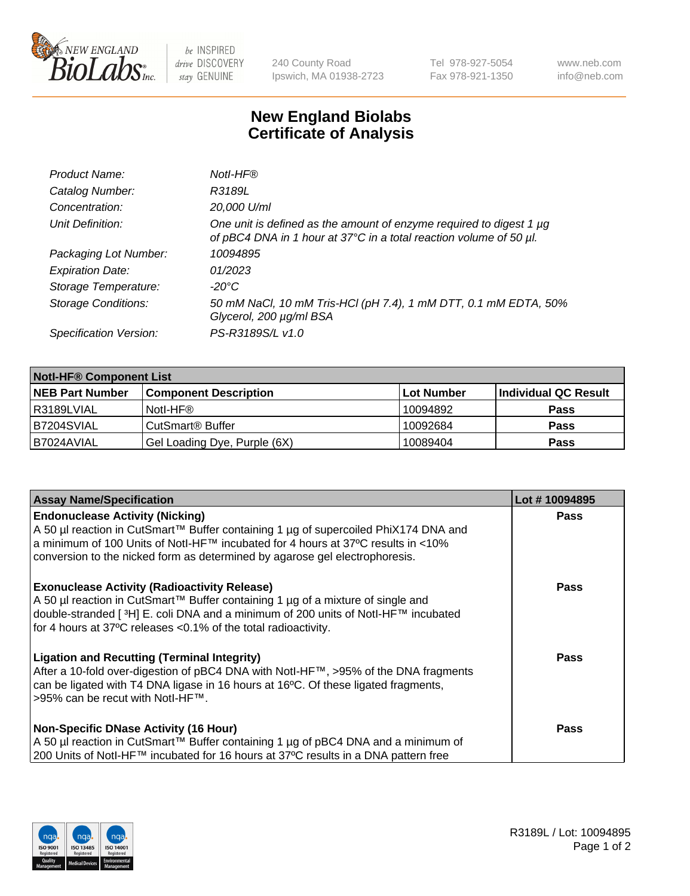

 $be$  INSPIRED drive DISCOVERY stay GENUINE

240 County Road Ipswich, MA 01938-2723 Tel 978-927-5054 Fax 978-921-1350 www.neb.com info@neb.com

## **New England Biolabs Certificate of Analysis**

| Product Name:              | Notl-HF®                                                                                                                                  |
|----------------------------|-------------------------------------------------------------------------------------------------------------------------------------------|
| Catalog Number:            | R3189L                                                                                                                                    |
| Concentration:             | 20,000 U/ml                                                                                                                               |
| Unit Definition:           | One unit is defined as the amount of enzyme required to digest 1 µg<br>of pBC4 DNA in 1 hour at 37°C in a total reaction volume of 50 µl. |
| Packaging Lot Number:      | 10094895                                                                                                                                  |
| <b>Expiration Date:</b>    | 01/2023                                                                                                                                   |
| Storage Temperature:       | $-20^{\circ}$ C                                                                                                                           |
| <b>Storage Conditions:</b> | 50 mM NaCl, 10 mM Tris-HCl (pH 7.4), 1 mM DTT, 0.1 mM EDTA, 50%<br>Glycerol, 200 µg/ml BSA                                                |
| Specification Version:     | PS-R3189S/L v1.0                                                                                                                          |

| <b>Notl-HF® Component List</b> |                              |                   |                      |  |  |
|--------------------------------|------------------------------|-------------------|----------------------|--|--|
| <b>NEB Part Number</b>         | <b>Component Description</b> | <b>Lot Number</b> | Individual QC Result |  |  |
| R3189LVIAL                     | Notl-HF®                     | 10094892          | <b>Pass</b>          |  |  |
| B7204SVIAL                     | CutSmart <sup>®</sup> Buffer | 10092684          | <b>Pass</b>          |  |  |
| B7024AVIAL                     | Gel Loading Dye, Purple (6X) | 10089404          | <b>Pass</b>          |  |  |

| <b>Assay Name/Specification</b>                                                                                                                                                                                                                                                                 | Lot #10094895 |
|-------------------------------------------------------------------------------------------------------------------------------------------------------------------------------------------------------------------------------------------------------------------------------------------------|---------------|
| <b>Endonuclease Activity (Nicking)</b><br>A 50 µl reaction in CutSmart™ Buffer containing 1 µg of supercoiled PhiX174 DNA and                                                                                                                                                                   | <b>Pass</b>   |
| a minimum of 100 Units of Notl-HF™ incubated for 4 hours at 37°C results in <10%<br>conversion to the nicked form as determined by agarose gel electrophoresis.                                                                                                                                 |               |
| <b>Exonuclease Activity (Radioactivity Release)</b><br>A 50 µl reaction in CutSmart™ Buffer containing 1 µg of a mixture of single and<br> double-stranded [3H] E. coli DNA and a minimum of 200 units of Notl-HF™ incubated<br>for 4 hours at 37°C releases < 0.1% of the total radioactivity. | <b>Pass</b>   |
| <b>Ligation and Recutting (Terminal Integrity)</b><br>After a 10-fold over-digestion of pBC4 DNA with Notl-HF™, >95% of the DNA fragments<br>can be ligated with T4 DNA ligase in 16 hours at 16°C. Of these ligated fragments,<br>>95% can be recut with Notl-HF™.                             | <b>Pass</b>   |
| <b>Non-Specific DNase Activity (16 Hour)</b>                                                                                                                                                                                                                                                    | <b>Pass</b>   |
| A 50 µl reaction in CutSmart™ Buffer containing 1 µg of pBC4 DNA and a minimum of<br>200 Units of Notl-HF™ incubated for 16 hours at 37°C results in a DNA pattern free                                                                                                                         |               |